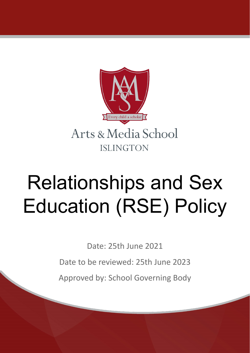

# Relationships and Sex Education (RSE) Policy

Date: 25th June 2021

Date to be reviewed: 25th June 2023

Approved by: School Governing Body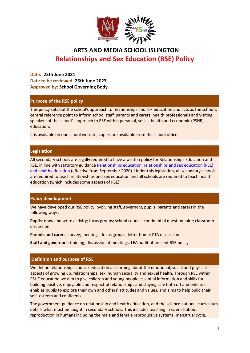

# **AARTS AND MEDIA SCHOOL ISLINGTON Relationships and Sex Education (RSE) Policy**

**Date: 25th June 2021 Date to be reviewed: 25th June 2023 Approved by: School Governing Body**

## **Purpose of the RSE policy**

This policy sets out the school's approach to relationships and sex education and acts as the school's central reference point to inform school staff, parents and carers, health professionals and visiting speakers of the school's approach to RSE within personal, social, health and economic (PSHE) education.

It is available on our school website; copies are available from the school office.

## **Legislation**

All secondary schools are legally required to have a written policy for Relationships Education and RSE, in line with statutory guidance [Relationships](https://www.gov.uk/government/publications/relationships-education-relationships-and-sex-education-rse-and-health-education) education, relationships and sex education (RSE) and health [education](https://www.gov.uk/government/publications/relationships-education-relationships-and-sex-education-rse-and-health-education) (effective from September 2020). Under this legislation, all secondary schools are required to teach relationships and sex education and all schools are required to teach health education (which includes some aspects of RSE).

## **Policy development**

We have developed our RSE policy involving staff, governors, pupils, parents and carers in the following ways:

**Pupils**: draw and write activity; focus groups; school council; confidential questionnaire; classroom discussion

**Parents and carers:** survey; meetings; focus groups; letter home; PTA discussion

**Staff and governors:** training; discussion at meetings; LEA audit of present RSE policy

## **Definition and purpose of RSE**

We define relationships and sex education as learning about the emotional, social and physical aspects of growing up, relationships, sex, human sexuality and sexual health. Through RSE within PSHE education we aim to give children and young people essential information and skills for building positive, enjoyable and respectful relationships and staying safe both off and online. It enables pupils to explore their own and others' attitudes and values, and aims to help build their self- esteem and confidence.

The government guidance on relationship and health education, and the science national curriculum details what must be taught in secondary schools. This includes teaching in science about reproduction in humans including the male and female reproductive systems, menstrual cycle,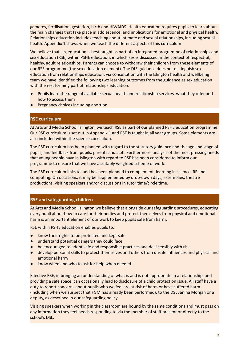gametes, fertilisation, gestation, birth and HIV/AIDS. Health education requires pupils to learn about the main changes that take place in adolescence, and implications for emotional and physical health. Relationships education includes teaching about intimate and sexual relationships, including sexual health. Appendix 1 shows when we teach the different aspects of this curriculum

We believe that sex education is best taught as part of an integrated programme of relationships and sex education (RSE) within PSHE education, in which sex is discussed in the context of respectful, healthy, adult relationships. Parents can choose to withdraw their children from these elements of our RSE programme (the sex education element). The DfE guidance does not distinguish sex education from relationships education, via consultation with the Islington health and wellbeing team we have identified the following two learning outcomes from the guidance as sex education with the rest forming part of relationships education.

- Pupils learn the range of available sexual health and relationship services, what they offer and how to access them
- Pregnancy choices including abortion

## **RSE curriculum**

At Arts and Media School Islington, we teach RSE as part of our planned PSHE education programme. Our RSE curriculum is set out in Appendix 1 and RSE is taught in all year groups. Some elements are also included within the science curriculum.

The RSE curriculum has been planned with regard to the statutory guidance and the age and stage of pupils, and feedback from pupils, parents and staff. Furthermore, analysis of the most pressing needs that young people have in Islington with regard to RSE has been considered to inform our programme to ensure that we have a suitably weighted scheme of work.

The RSE curriculum links to, and has been planned to complement, learning in science, RE and computing. On occasions, it may be supplemented by drop-down days, assemblies, theatre productions, visiting speakers and/or discussions in tutor time/circle time.

## **RSE and safeguarding children**

At Arts and Media School Islington we believe that alongside our safeguarding procedures, educating every pupil about how to care for their bodies and protect themselves from physical and emotional harm is an important element of our work to keep pupils safe from harm.

RSE within PSHE education enables pupils to:

- know their rights to be protected and kept safe
- understand potential dangers they could face
- be encouraged to adopt safe and responsible practices and deal sensibly with risk
- develop personal skills to protect themselves and others from unsafe influences and physical and emotional harm
- know when and who to ask for help when needed.

Effective RSE, in bringing an understanding of what is and is not appropriate in a relationship, and providing a safe space, can occasionally lead to disclosure of a child protection issue. All staff have a duty to report concerns about pupils who we feel are at risk of harm or have suffered harm (including when we suspect that FGM has already been performed), to the DSL Janina Morgan or a deputy, as described in our safeguarding policy.

Visiting speakers when working in the classroom are bound by the same conditions and must pass on any information they feel needs responding to via the member of staff present or directly to the school's DSL.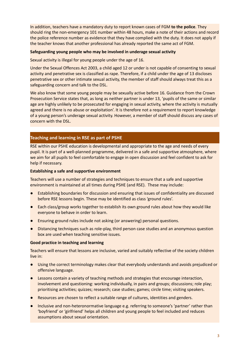In addition, teachers have a mandatory duty to report known cases of FGM **to the police**. They should ring the non-emergency 101 number within 48 hours, make a note of their actions and record the police reference number as evidence that they have complied with the duty. It does not apply if the teacher knows that another professional has already reported the same act of FGM.

## **Safeguarding young people who may be involved in underage sexual activity**

Sexual activity is illegal for young people under the age of 16.

Under the Sexual Offences Act 2003, a child aged 12 or under is not capable of consenting to sexual activity and penetrative sex is classified as rape. Therefore, if a child under the age of 13 discloses penetrative sex or other intimate sexual activity, the member of staff should always treat this as a safeguarding concern and talk to the DSL.

We also know that some young people may be sexually active before 16. Guidance from the Crown Prosecution Service states that, as long as neither partner is under 13, 'pupils of the same or similar age are highly unlikely to be prosecuted for engaging in sexual activity, where the activity is mutually agreed and there is no abuse or exploitation'. It is therefore not a requirement to report knowledge of a young person's underage sexual activity. However, a member of staff should discuss any cases of concern with the DSL.

## **Teaching and learning in RSE as part of PSHE**

RSE within our PSHE education is developmental and appropriate to the age and needs of every pupil. It is part of a well-planned programme, delivered in a safe and supportive atmosphere, where we aim for all pupils to feel comfortable to engage in open discussion and feel confident to ask for help if necessary.

## **Establishing a safe and supportive environment**

Teachers will use a number of strategies and techniques to ensure that a safe and supportive environment is maintained at all times during PSHE (and RSE). These may include:

- Establishing boundaries for discussion and ensuring that issues of confidentiality are discussed before RSE lessons begin. These may be identified as class 'ground rules'.
- Each class/group works together to establish its own ground rules about how they would like everyone to behave in order to learn.
- Ensuring ground rules include not asking (or answering) personal questions.
- Distancing techniques such as role-play, third person case studies and an anonymous question box are used when teaching sensitive issues.

## **Good practice in teaching and learning**

Teachers will ensure that lessons are inclusive, varied and suitably reflective of the society children live in:

- Using the correct terminology makes clear that everybody understands and avoids prejudiced or offensive language.
- Lessons contain a variety of teaching methods and strategies that encourage interaction, involvement and questioning: working individually, in pairs and groups; discussions; role play; prioritising activities; quizzes; research; case studies; games; circle time; visiting speakers.
- Resources are chosen to reflect a suitable range of cultures, identities and genders.
- Inclusive and non-heteronormative language e.g. referring to someone's 'partner' rather than 'boyfriend' or 'girlfriend' helps all children and young people to feel included and reduces assumptions about sexual orientation.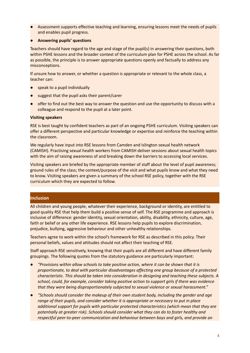Assessment supports effective teaching and learning, ensuring lessons meet the needs of pupils and enables pupil progress.

## ● **Answering pupils' questions**

Teachers should have regard to the age and stage of the pupil(s) in answering their questions, both within PSHE lessons and the broader context of the curriculum plan for PSHE across the school. As far as possible, the principle is to answer appropriate questions openly and factually to address any misconceptions.

If unsure how to answer, or whether a question is appropriate or relevant to the whole class, a teacher can:

- speak to a pupil individually
- suggest that the pupil asks their parent/carer
- offer to find out the best way to answer the question and use the opportunity to discuss with a colleague and respond to the pupil at a later point.

## **Visiting speakers**

RSE is best taught by confident teachers as part of an ongoing PSHE curriculum. Visiting speakers can offer a different perspective and particular knowledge or expertise and reinforce the teaching within the classroom.

We regularly have input into RSE lessons from Camden and Islington sexual health network (CAMISH). Practising sexual health workers from CAMISH deliver sessions about sexual health topics with the aim of raising awareness of and breaking down the barriers to accessing local services.

Visiting speakers are briefed by the appropriate member of staff about the level of pupil awareness; ground rules of the class; the context/purpose of the visit and what pupils know and what they need to know. Visiting speakers are given a summary of the school RSE policy, together with the RSE curriculum which they are expected to follow.

## **Inclusion**

All children and young people, whatever their experience, background or identity, are entitled to good quality RSE that help them build a positive sense of self. The RSE programme and approach is inclusive of difference: gender identity, sexual orientation, ability, disability, ethnicity, culture, age, faith or belief or any other life experience. RSE lessons help pupils to explore discrimination, prejudice, bullying, aggressive behaviour and other unhealthy relationships.

Teachers agree to work within the school's framework for RSE as described in this policy. Their personal beliefs, values and attitudes should not affect their teaching of RSE.

Staff approach RSE sensitively, knowing that their pupils are all different and have different family groupings. The following quotes from the statutory guidance are particularly important:

- *● "Provisions within allow schools to take positive action, where it can be shown that it is proportionate, to deal with particular disadvantages affecting one group because of a protected characteristic. This should be taken into consideration in designing and teaching these subjects. A school, could, for example, consider taking positive action to support girls if there was evidence that they were being disproportionately subjected to sexual violence or sexual harassment."*
- *● "Schools should consider the makeup of their own student body, including the gender and age range of their pupils, and consider whether it is appropriate or necessary to put in place additional support for pupils with particular protected characteristics (which mean that they are potentially at greater risk). Schools should consider what they can do to foster healthy and respectful peer-to-peer communication and behaviour between boys and girls, and provide an*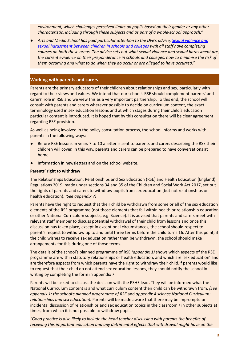*environment, which challenges perceived limits on pupils based on their gender or any other characteristic, including through these subjects and as part of a whole-school approach."*

● *Arts and Media School has paid particular attention to the DFe's advice, Sexual [violence](https://www.gov.uk/government/publications/sexual-violence-and-sexual-harassment-between-children-in-schools-and-colleges) and sexual [harassment](https://www.gov.uk/government/publications/sexual-violence-and-sexual-harassment-between-children-in-schools-and-colleges) between children in schools and colleges with all staff have completing courses on both these areas. The advice sets out what sexual violence and sexual harassment are, the current evidence on their preponderance in schools and colleges, how to minimise the risk of them occurring and what to do when they do occur or are alleged to have occurred."*

## **Working with parents and carers**

Parents are the primary educators of their children about relationships and sex, particularly with regard to their views and values. We intend that our school's RSE should complement parents' and carers' role in RSE and we view this as a very important partnership. To this end, the school will consult with parents and carers wherever possible to decide on curriculum content, the exact terminology used in sex education lessons and at which stages during their child's education particular content is introduced. It is hoped that by this consultation there will be clear agreement regarding RSE provision.

As well as being involved in the policy consultation process, the school informs and works with parents in the following ways:

- Before RSE lessons in years 7 to 10 a letter is sent to parents and carers describing the RSE their children will cover. In this way, parents and carers can be prepared to have conversations at home
- Information in newsletters and on the school website.

#### **Parents' right to withdraw**

The Relationships Education, Relationships and Sex Education (RSE) and Health Education (England) Regulations 2019, made under sections 34 and 35 of the Children and Social Work Act 2017, set out the rights of parents and carers to withdraw pupils from sex education (but not relationships or health education). *(See appendix 7)*

Parents have the right to request that their child be withdrawn from some or all of the sex education elements of the RSE programme (not those elements that fall within health or relationship education or other National Curriculum subjects, e.g. Science). It is advised that parents and carers meet with relevant staff member to discuss potential withdrawal of their child from lessons and once this discussion has taken place, except in exceptional circumstances, the school should respect to parent's request to withdraw up to and until three terms before the child turns 16. After this point, if the child wishes to receive sex education rather than be withdrawn, the school should make arrangements for this during one of those terms.

The details of the school's planned programme of RSE *(appendix 1)* shows which aspects of the RSE programme are within statutory relationships or health education, and which are 'sex education' and are therefore aspects from which parents have the right to withdraw their child.If parents would like to request that their child do not attend sex education lessons, they should notify the school in writing by completing the form in appendix 7.

Parents will be asked to discuss the decision with the PSHE lead**.** They will be informed what the National Curriculum content is and what curriculum content their child can be withdrawn from. *(See appendix 1: the school's planned programme of RSE* and *appendix 4 science National Curriculum: relationships and sex education).* Parents will be made aware that there may be impromptu or incidental discussion of relationships and sex education topics in the classroom / in other subjects at times, from which it is not possible to withdraw pupils.

*"Good practice is also likely to include the head teacher discussing with parents the benefits of receiving this important education and any detrimental effects that withdrawal might have on the*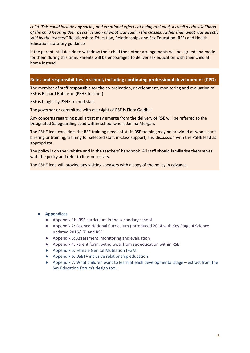*child. This could include any social, and emotional effects of being excluded, as well as the likelihood* of the child hearing their peers' version of what was said in the classes, rather than what was directly *said by the teacher"* Relationships Education, Relationships and Sex Education (RSE) and Health Education statutory guidance

If the parents still decide to withdraw their child then other arrangements will be agreed and made for them during this time. Parents will be encouraged to deliver sex education with their child at home instead.

## **Roles and responsibilities in school, including continuing professional development (CPD)**

The member of staff responsible for the co-ordination, development, monitoring and evaluation of RSE is Richard Robinson (PSHE teacher)*.*

RSE is taught by PSHE trained staff.

The governor or committee with oversight of RSE is Flora Goldhill.

Any concerns regarding pupils that may emerge from the delivery of RSE will be referred to the Designated Safeguarding Lead within school who is Janina Morgan.

The PSHE lead considers the RSE training needs of staff. RSE training may be provided as whole staff briefing or training, training for selected staff, in-class support, and discussion with the PSHE lead as appropriate.

The policy is on the website and in the teachers' handbook. All staff should familiarise themselves with the policy and refer to it as necessary.

The PSHE lead will provide any visiting speakers with a copy of the policy in advance.

## **● Appendices**

- Appendix 1b: RSE curriculum in the secondary school
- Appendix 2: Science National Curriculum (Introduced 2014 with Key Stage 4 Science updated 2016/17) and RSE
- Appendix 3: Assessment, monitoring and evaluation
- Appendix 4: Parent form: withdrawal from sex education within RSE
- Appendix 5: Female Genital Mutilation (FGM)
- Appendix 6: LGBT+ inclusive relationship education
- Appendix 7: What children want to learn at each developmental stage extract from the Sex Education Forum's design tool.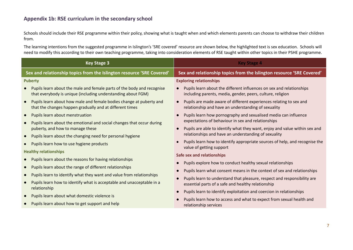## **Appendix 1b: RSE curriculum in the secondary school**

Schools should include their RSE programme within their policy, showing what is taught when and which elements parents can choose to withdraw their children from.

The learning intentions from the suggested programme in Islington's 'SRE covered' resource are shown below, the highlighted text is sex education. Schools will need to modify this according to their own teaching programme, taking into consideration elements of RSE taught within other topics in their PSHE programme.

| <b>Key Stage 3</b>                                                                                                                                                                                                                                                                                                                                                                                                                                                                        | <b>Key Stage 4</b>                                                                                                                                                                                                                                                                                                                                                                                                                                                 |  |
|-------------------------------------------------------------------------------------------------------------------------------------------------------------------------------------------------------------------------------------------------------------------------------------------------------------------------------------------------------------------------------------------------------------------------------------------------------------------------------------------|--------------------------------------------------------------------------------------------------------------------------------------------------------------------------------------------------------------------------------------------------------------------------------------------------------------------------------------------------------------------------------------------------------------------------------------------------------------------|--|
| Sex and relationship topics from the Islington resource 'SRE Covered'                                                                                                                                                                                                                                                                                                                                                                                                                     | Sex and relationship topics from the Islington resource 'SRE Covered'                                                                                                                                                                                                                                                                                                                                                                                              |  |
| <b>Puberty</b><br>Pupils learn about the male and female parts of the body and recognise<br>$\bullet$<br>that everybody is unique (including understanding about FGM)<br>Pupils learn about how male and female bodies change at puberty and<br>$\bullet$<br>that the changes happen gradually and at different times                                                                                                                                                                     | <b>Exploring relationships</b><br>Pupils learn about the different influences on sex and relationships<br>including parents, media, gender, peers, culture, religion<br>Pupils are made aware of different experiences relating to sex and<br>relationship and have an understanding of sexuality                                                                                                                                                                  |  |
| Pupils learn about menstruation<br>$\bullet$<br>Pupils learn about the emotional and social changes that occur during<br>$\bullet$<br>puberty, and how to manage these<br>Pupils learn about the changing need for personal hygiene<br>$\bullet$<br>Pupils learn how to use hygiene products<br>$\bullet$<br><b>Healthy relationships</b><br>Pupils learn about the reasons for having relationships<br>$\bullet$<br>Pupils learn about the range of different relationships<br>$\bullet$ | Pupils learn how pornography and sexualised media can influence<br>expectations of behaviour in sex and relationships<br>Pupils are able to identify what they want, enjoy and value within sex and<br>relationships and have an understanding of sexuality<br>Pupils learn how to identify appropriate sources of help, and recognise the<br>value of getting support<br>Safe sex and relationships<br>Pupils explore how to conduct healthy sexual relationships |  |
| Pupils learn to identify what they want and value from relationships<br>$\bullet$<br>Pupils learn how to identify what is acceptable and unacceptable in a<br>$\bullet$<br>relationship<br>Pupils learn about what domestic violence is<br>$\bullet$<br>Pupils learn about how to get support and help                                                                                                                                                                                    | Pupils learn what consent means in the context of sex and relationships<br>Pupils learn to understand that pleasure, respect and responsibility are<br>essential parts of a safe and healthy relationship<br>Pupils learn to identify exploitation and coercion in relationships<br>Pupils learn how to access and what to expect from sexual health and<br>relationship services                                                                                  |  |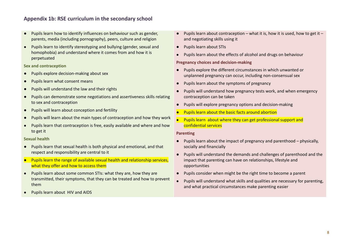## **Appendix 1b: RSE curriculum in the secondary school**

- Pupils learn how to identify influences on behaviour such as gender. parents, media (including pornography), peers, culture and religion
- **●** Pupils learn to identify stereotyping and bullying (gender, sexual and homophobia) and understand where it comes from and how it is perpetuated

**Sex and contraception**

- Pupils explore decision-making about sex
- Pupils learn what consent means
- Pupils will understand the law and their rights
- Pupils can demonstrate some negotiations and assertiveness skills relating to sex and contraception
- Pupils will learn about conception and fertility
- Pupils will learn about the main types of contraception and how they work
- **●** Pupils learn that contraception is free, easily available and where and how to get it

## **Sexual health**

- Pupils learn that sexual health is both physical and emotional, and that respect and responsibility are central to it
- Pupils learn the range of available sexual health and relationship services, what they offer and how to access them
- Pupils learn about some common STIs: what they are, how they are transmitted, their symptoms, that they can be treated and how to prevent them
- **●** Pupils learn about HIV and AIDS
- $\bullet$  Pupils learn about contraception what it is, how it is used, how to get it and negotiating skills using it
- Pupils learn about STIs
- **●** Pupils learn about the effects of alcohol and drugs on behaviour

#### **Pregnancy choices and decision-making**

- Pupils explore the different circumstances in which unwanted or unplanned pregnancy can occur, including non-consensual sex
- Pupils learn about the symptoms of pregnancy
- Pupils will understand how pregnancy tests work, and when emergency contraception can be taken
- Pupils will explore pregnancy options and decision-making
- **Pupils learn about the basic facts around abortion**
- **●** Pupils learn about where they can get professional support and confidential services

#### **Parenting**

- Pupils learn about the impact of pregnancy and parenthood physically, socially and financially
- Pupils will understand the demands and challenges of parenthood and the impact that parenting can have on relationships, lifestyle and opportunities
- Pupils consider when might be the right time to become a parent
- Pupils will understand what skills and qualities are necessary for parenting, and what practical circumstances make parenting easier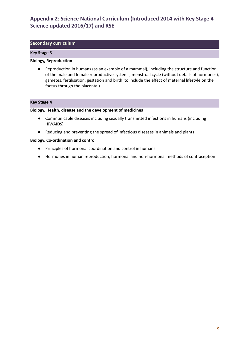## **Appendix 2**: **Science National Curriculum (Introduced 2014 with Key Stage 4 Science updated 2016/17) and RSE**

## **Secondary curriculum**

#### **Key Stage 3**

#### **Biology, Reproduction**

● Reproduction in humans (as an example of a mammal), including the structure and function of the male and female reproductive systems, menstrual cycle (without details of hormones), gametes, fertilisation, gestation and birth, to include the effect of maternal lifestyle on the foetus through the placenta.)

## **Key Stage 4**

#### **Biology, Health, disease and the development of medicines**

- Communicable diseases including sexually transmitted infections in humans (including HIV/AIDS)
- Reducing and preventing the spread of infectious diseases in animals and plants

#### **Biology, Co-ordination and control**

- Principles of hormonal coordination and control in humans
- Hormones in human reproduction, hormonal and non-hormonal methods of contraception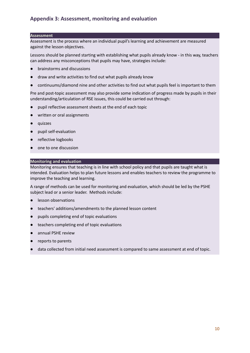## **Appendix 3: Assessment, monitoring and evaluation**

#### **Assessment**

Assessment is the process where an individual pupil's learning and achievement are measured against the lesson objectives.

Lessons should be planned starting with establishing what pupils already know - in this way, teachers can address any misconceptions that pupils may have, strategies include:

- brainstorms and discussions
- draw and write activities to find out what pupils already know
- continuums/diamond nine and other activities to find out what pupils feel is important to them

Pre and post-topic assessment may also provide some indication of progress made by pupils in their understanding/articulation of RSE issues, this could be carried out through:

- pupil reflective assessment sheets at the end of each topic
- written or oral assignments
- quizzes
- pupil self-evaluation
- reflective logbooks
- one to one discussion

## **Monitoring and evaluation**

Monitoring ensures that teaching is in line with school policy and that pupils are taught what is intended. Evaluation helps to plan future lessons and enables teachers to review the programme to improve the teaching and learning.

A range of methods can be used for monitoring and evaluation, which should be led by the PSHE subject lead or a senior leader. Methods include:

- lesson observations
- teachers' additions/amendments to the planned lesson content
- pupils completing end of topic evaluations
- teachers completing end of topic evaluations
- annual PSHE review
- reports to parents
- data collected from initial need assessment is compared to same assessment at end of topic.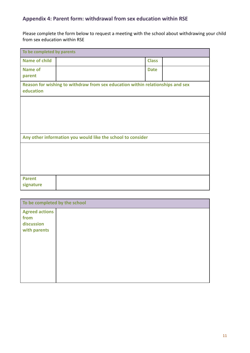## **Appendix 4: Parent form: withdrawal from sex education within RSE**

Please complete the form below to request a meeting with the school about withdrawing your child from sex education within RSE

| To be completed by parents |                                                                                |              |  |
|----------------------------|--------------------------------------------------------------------------------|--------------|--|
| <b>Name of child</b>       |                                                                                | <b>Class</b> |  |
| <b>Name of</b>             |                                                                                | <b>Date</b>  |  |
| parent                     |                                                                                |              |  |
| education                  | Reason for wishing to withdraw from sex education within relationships and sex |              |  |
|                            |                                                                                |              |  |
|                            |                                                                                |              |  |
|                            |                                                                                |              |  |
|                            |                                                                                |              |  |
|                            | Any other information you would like the school to consider                    |              |  |
|                            |                                                                                |              |  |
|                            |                                                                                |              |  |
|                            |                                                                                |              |  |
|                            |                                                                                |              |  |
| <b>Parent</b><br>signature |                                                                                |              |  |

| To be completed by the school                               |  |
|-------------------------------------------------------------|--|
| <b>Agreed actions</b><br>from<br>discussion<br>with parents |  |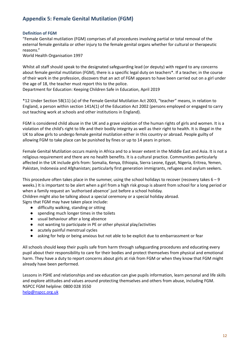## **Appendix 5: Female Genital Mutilation (FGM)**

## **Definition of FGM**

"Female Genital mutilation (FGM) comprises of all procedures involving partial or total removal of the external female genitalia or other injury to the female genital organs whether for cultural or therapeutic reasons."

World Health Organisation 1997

Whilst all staff should speak to the designated safeguarding lead (or deputy) with regard to any concerns about female genital mutilation (FGM), there is a specific legal duty on teachers\*. If a teacher, in the course of their work in the profession, discovers that an act of FGM appears to have been carried out on a girl under the age of 18, the teacher must report this to the police.

Department for Education: Keeping Children Safe in Education, April 2019

\*12 Under Section 5B(11) (a) of the Female Genital Mutilation Act 2003, "teacher" means, in relation to England, a person within section 141A(1) of the Education Act 2002 (persons employed or engaged to carry out teaching work at schools and other institutions in England).

FGM is considered child abuse in the UK and a grave violation of the human rights of girls and women. It is a violation of the child's right to life and their bodily integrity as well as their right to health. It is illegal in the UK to allow girls to undergo female genital mutilation either in this country or abroad. People guilty of allowing FGM to take place can be punished by fines or up to 14 years in prison.

Female Genital Mutilation occurs mainly in Africa and to a lesser extent in the Middle East and Asia. It is not a religious requirement and there are no health benefits. It is a cultural practice. Communities particularly affected in the UK include girls from: Somalia, Kenya, Ethiopia, Sierra Leone, Egypt, Nigeria, Eritrea, Yemen, Pakistan, Indonesia and Afghanistan; particularly first generation immigrants, refugees and asylum seekers.

This procedure often takes place in the summer, using the school holidays to recover (recovery takes  $6 - 9$ ) weeks.) It is important to be alert when a girl from a high risk group is absent from school for a long period or when a family request an 'authorised absence' just before a school holiday.

Children might also be talking about a special ceremony or a special holiday abroad.

Signs that FGM may have taken place include:

- difficulty walking, standing or sitting
- spending much longer times in the toilets
- usual behaviour after a long absence
- not wanting to participate in PE or other physical play/activities
- acutely painful menstrual cycles
- asking for help or being anxious but not able to be explicit due to embarrassment or fear

All schools should keep their pupils safe from harm through safeguarding procedures and educating every pupil about their responsibility to care for their bodies and protect themselves from physical and emotional harm. They have a duty to report concerns about girls at risk from FGM or when they know that FGM might already have been performed.

Lessons in PSHE and relationships and sex education can give pupils information, learn personal and life skills and explore attitudes and values around protecting themselves and others from abuse, including FGM. NSPCC FGM helpline: 0800 028 3550 [help@nspcc.org.uk](mailto:help@nspcc.org.uk)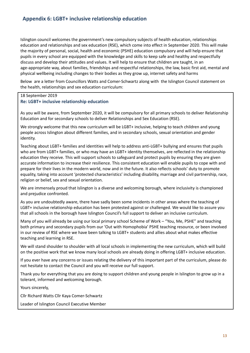Islington council welcomes the government's new compulsory subjects of health education, relationships education and relationships and sex education (RSE), which come into effect in September 2020. This will make the majority of personal, social, health and economic (PSHE) education compulsory and will help ensure that pupils in every school are equipped with the knowledge and skills to keep safe and healthy and respectfully discuss and develop their attitudes and values. It will help to ensure that children are taught, in an age-appropriate way, about families, friendships and respectful relationships, the law, basic first aid, mental and physical wellbeing including changes to their bodies as they grow up, internet safety and harms

Below are a letter from Councillors Watts and Comer-Schwartz along with the Islington Council statement on the health, relationships and sex education curriculum:

## 18 September 2019

## **Re: LGBT+ inclusive relationship education**

As you will be aware, from September 2020, it will be compulsory for all primary schools to deliver Relationship Education and for secondary schools to deliver Relationships and Sex Education (RSE).

We strongly welcome that this new curriculum will be LGBT+ inclusive, helping to teach children and young people across Islington about different families, and in secondary schools, sexual orientation and gender identity.

Teaching about LGBT+ families and identities will help to address anti-LGBT+ bullying and ensures that pupils who are from LGBT+ families, or who may have an LGBT+ identity themselves, are reflected in the relationship education they receive. This will support schools to safeguard and protect pupils by ensuring they are given accurate information to increase their resilience. This consistent education will enable pupils to cope with and prepare for their lives in the modern world, now and in the future. It also reflects schools' duty to promote equality, taking into account 'protected characteristics' including disability, marriage and civil partnership, race, religion or belief, sex and sexual orientation.

We are immensely proud that Islington is a diverse and welcoming borough, where inclusivity is championed and prejudice confronted.

As you are undoubtedly aware, there have sadly been some incidents in other areas where the teaching of LGBT+ inclusive relationship education has been protested against or challenged. We would like to assure you that all schools in the borough have Islington Council's full support to deliver an inclusive curriculum.

Many of you will already be using our local primary school Scheme of Work – "You, Me, PSHE" and teaching both primary and secondary pupils from our 'Out with Homophobia' PSHE teaching resource, or been involved in our review of RSE where we have been talking to LGBT+ students and allies about what makes effective teaching and learning in RSE.

We will stand shoulder to shoulder with all local schools in implementing the new curriculum, which will build on the positive work that we know many local schools are already doing in offering LGBT+ inclusive education.

If you ever have any concerns or issues relating the delivery of this important part of the curriculum, please do not hesitate to contact the Council and you will receive our full support.

Thank you for everything that you are doing to support children and young people in Islington to grow up in a tolerant, informed and welcoming borough.

Yours sincerely,

Cllr Richard Watts Cllr Kaya Comer-Schwartz

Leader of Islington Council Executive Member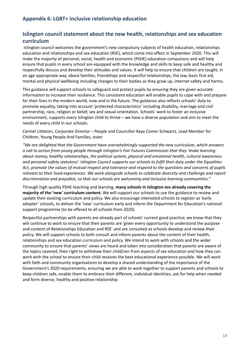## **Appendix 6: LGBT+ inclusive relationship education**

## **Islington council statement about the new health, relationships and sex education curriculum**

Islington council welcomes the government's new compulsory subjects of health education, relationships education and relationships and sex education (RSE), which come into effect in September 2020. This will make the majority of personal, social, health and economic (PSHE) education compulsory and will help ensure that pupils in every school are equipped with the knowledge and skills to keep safe and healthy and respectfully discuss and develop their attitudes and values. It will help to ensure that children are taught, in an age appropriate way, about families, friendships and respectful relationships, the law, basic first aid, mental and physical wellbeing including changes to their bodies as they grow up, internet safety and harms.

This guidance will support schools to safeguard and protect pupils by ensuring they are given accurate information to increase their resilience. This consistent education will enable pupils to cope with and prepare for their lives in the modern world, now and in the future. The guidance also reflects schools' duty to promote equality, taking into account 'protected characteristics' including disability, marriage and civil partnership, race, religion or belief, sex and sexual orientation. Schools' work to foster an inclusive environment, supports every Islington child to thrive – we have a diverse population and aim to meet the needs of every child in our schools.

Carmel Littleton, Corporate Director – People and Councillor Kaya Comer Schwartz, Lead Member for Children, Young People And Families, state:

*"We are delighted that the Government have overwhelmingly supported the new curriculum, which answers a call to action from young people through Islington's Fair Futures Commission that they 'make learning about money, healthy relationships, the political system, physical and emotional health, cultural awareness and personal safety statutory'. Islington Council supports our schools to fulfil their duty under the Equalities* Act, promote the values of mutual respect and tolerance and respond to the questions and concerns of pupils *relevant to their lived experiences. We work alongside schools to celebrate diversity and challenge and report discrimination and prejudice, so that our schools are welcoming and inclusive learning communities."*

Through high quality PSHE teaching and learning, **many schools in Islington are already covering the majority of the 'new' curriculum content.** We will support our schools to use the guidance to review and update their existing curriculum and policy. We also encourage interested schools to register as 'early adopter' schools, to deliver the 'new' curriculum early and inform the Department for Education's national support programme (to be offered to all schools from 2020).

Respectful partnerships with parents are already part of schools' current good practice; we know that they will continue to work to ensure that their parents are 'given every opportunity to understand the purpose and content of Relationships Education and RSE' and are consulted as schools develop and review their policy. We will support schools to both consult and inform parents about the content of their health, relationships and sex education curriculum and policy. We intend to work with schools and the wider community to ensure that parents' views are heard and taken into consideration that parents are aware of the topics covered, their right to withdraw their child/ren from aspects of sex education and how they can work with the school to ensure their child receives the best educational experience possible. We will work with faith and community organisations to develop a shared understanding of the importance of the Government's 2020 requirements, ensuring we are able to work together to support parents and schools to keep children safe, enable them to embrace their different, individual identities, ask for help when needed and form diverse, healthy and positive relationship